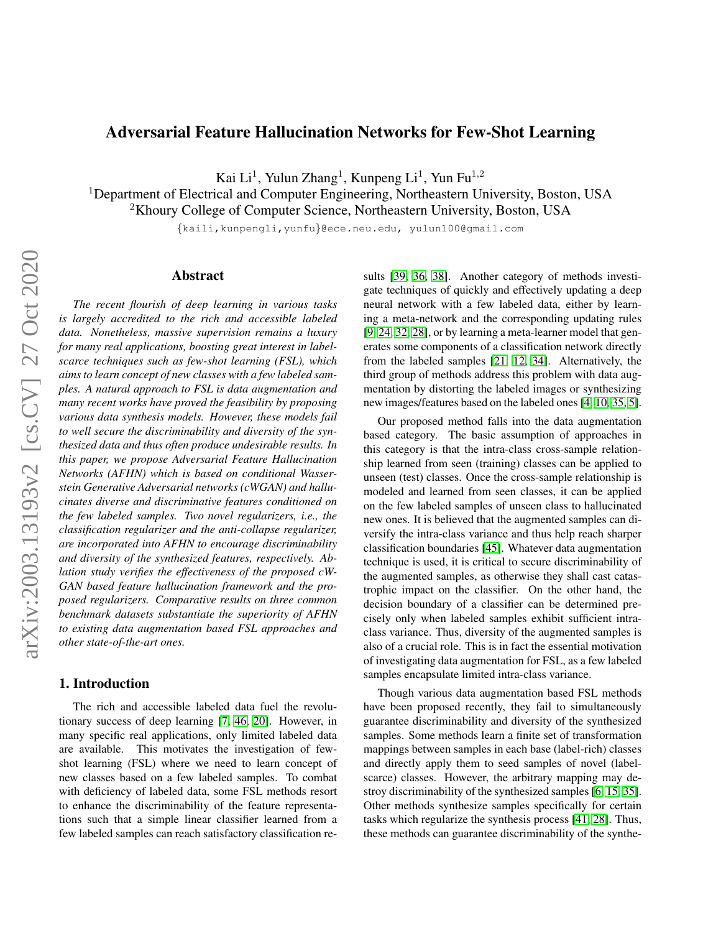# Adversarial Feature Hallucination Networks for Few-Shot Learning

Kai Li<sup>1</sup>, Yulun Zhang<sup>1</sup>, Kunpeng Li<sup>1</sup>, Yun Fu<sup>1,2</sup>

<sup>1</sup>Department of Electrical and Computer Engineering, Northeastern University, Boston, USA

<sup>2</sup>Khoury College of Computer Science, Northeastern University, Boston, USA

{kaili,kunpengli,yunfu}@ece.neu.edu, yulun100@gmail.com

## Abstract

*The recent flourish of deep learning in various tasks is largely accredited to the rich and accessible labeled data. Nonetheless, massive supervision remains a luxury for many real applications, boosting great interest in labelscarce techniques such as few-shot learning (FSL), which aims to learn concept of new classes with a few labeled samples. A natural approach to FSL is data augmentation and many recent works have proved the feasibility by proposing various data synthesis models. However, these models fail to well secure the discriminability and diversity of the synthesized data and thus often produce undesirable results. In this paper, we propose Adversarial Feature Hallucination Networks (AFHN) which is based on conditional Wasserstein Generative Adversarial networks (cWGAN) and hallucinates diverse and discriminative features conditioned on the few labeled samples. Two novel regularizers, i.e., the classification regularizer and the anti-collapse regularizer, are incorporated into AFHN to encourage discriminability and diversity of the synthesized features, respectively. Ablation study verifies the effectiveness of the proposed cW-GAN based feature hallucination framework and the proposed regularizers. Comparative results on three common benchmark datasets substantiate the superiority of AFHN to existing data augmentation based FSL approaches and other state-of-the-art ones.*

# 1. Introduction

The rich and accessible labeled data fuel the revolutionary success of deep learning [\[7,](#page-8-0) [46,](#page-9-0) [20\]](#page-8-1). However, in many specific real applications, only limited labeled data are available. This motivates the investigation of fewshot learning (FSL) where we need to learn concept of new classes based on a few labeled samples. To combat with deficiency of labeled data, some FSL methods resort to enhance the discriminability of the feature representations such that a simple linear classifier learned from a few labeled samples can reach satisfactory classification results [\[39,](#page-9-1) [36,](#page-8-2) [38\]](#page-9-2). Another category of methods investigate techniques of quickly and effectively updating a deep neural network with a few labeled data, either by learning a meta-network and the corresponding updating rules [\[9,](#page-8-3) [24,](#page-8-4) [32,](#page-8-5) [28\]](#page-8-6), or by learning a meta-learner model that generates some components of a classification network directly from the labeled samples [\[21,](#page-8-7) [12,](#page-8-8) [34\]](#page-8-9). Alternatively, the third group of methods address this problem with data augmentation by distorting the labeled images or synthesizing new images/features based on the labeled ones [\[4,](#page-8-10) [10,](#page-8-11) [35,](#page-8-12) [5\]](#page-8-13).

Our proposed method falls into the data augmentation based category. The basic assumption of approaches in this category is that the intra-class cross-sample relationship learned from seen (training) classes can be applied to unseen (test) classes. Once the cross-sample relationship is modeled and learned from seen classes, it can be applied on the few labeled samples of unseen class to hallucinated new ones. It is believed that the augmented samples can diversify the intra-class variance and thus help reach sharper classification boundaries [\[45\]](#page-9-3). Whatever data augmentation technique is used, it is critical to secure discriminability of the augmented samples, as otherwise they shall cast catastrophic impact on the classifier. On the other hand, the decision boundary of a classifier can be determined precisely only when labeled samples exhibit sufficient intraclass variance. Thus, diversity of the augmented samples is also of a crucial role. This is in fact the essential motivation of investigating data augmentation for FSL, as a few labeled samples encapsulate limited intra-class variance.

Though various data augmentation based FSL methods have been proposed recently, they fail to simultaneously guarantee discriminability and diversity of the synthesized samples. Some methods learn a finite set of transformation mappings between samples in each base (label-rich) classes and directly apply them to seed samples of novel (labelscarce) classes. However, the arbitrary mapping may destroy discriminability of the synthesized samples [\[6,](#page-8-14) [15,](#page-8-15) [35\]](#page-8-12). Other methods synthesize samples specifically for certain tasks which regularize the synthesis process [\[41,](#page-9-4) [28\]](#page-8-6). Thus, these methods can guarantee discriminability of the synthe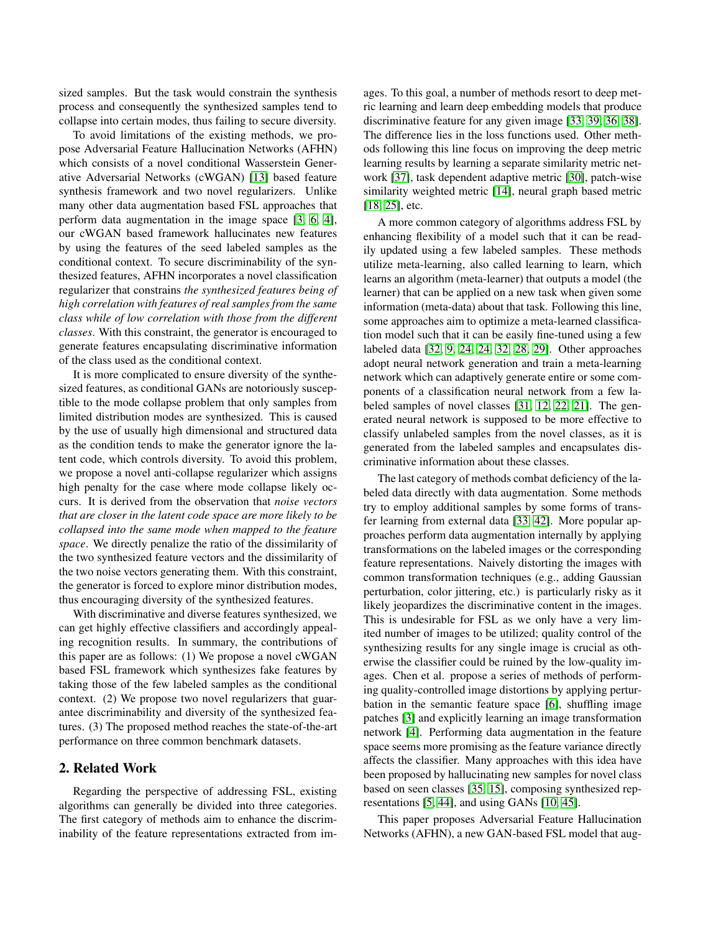sized samples. But the task would constrain the synthesis process and consequently the synthesized samples tend to collapse into certain modes, thus failing to secure diversity.

To avoid limitations of the existing methods, we propose Adversarial Feature Hallucination Networks (AFHN) which consists of a novel conditional Wasserstein Generative Adversarial Networks (cWGAN) [\[13\]](#page-8-16) based feature synthesis framework and two novel regularizers. Unlike many other data augmentation based FSL approaches that perform data augmentation in the image space [\[3,](#page-8-17) [6,](#page-8-14) [4\]](#page-8-10), our cWGAN based framework hallucinates new features by using the features of the seed labeled samples as the conditional context. To secure discriminability of the synthesized features, AFHN incorporates a novel classification regularizer that constrains *the synthesized features being of high correlation with features of real samples from the same class while of low correlation with those from the different classes*. With this constraint, the generator is encouraged to generate features encapsulating discriminative information of the class used as the conditional context.

It is more complicated to ensure diversity of the synthesized features, as conditional GANs are notoriously susceptible to the mode collapse problem that only samples from limited distribution modes are synthesized. This is caused by the use of usually high dimensional and structured data as the condition tends to make the generator ignore the latent code, which controls diversity. To avoid this problem, we propose a novel anti-collapse regularizer which assigns high penalty for the case where mode collapse likely occurs. It is derived from the observation that *noise vectors that are closer in the latent code space are more likely to be collapsed into the same mode when mapped to the feature space*. We directly penalize the ratio of the dissimilarity of the two synthesized feature vectors and the dissimilarity of the two noise vectors generating them. With this constraint, the generator is forced to explore minor distribution modes, thus encouraging diversity of the synthesized features.

With discriminative and diverse features synthesized, we can get highly effective classifiers and accordingly appealing recognition results. In summary, the contributions of this paper are as follows: (1) We propose a novel cWGAN based FSL framework which synthesizes fake features by taking those of the few labeled samples as the conditional context. (2) We propose two novel regularizers that guarantee discriminability and diversity of the synthesized features. (3) The proposed method reaches the state-of-the-art performance on three common benchmark datasets.

## 2. Related Work

Regarding the perspective of addressing FSL, existing algorithms can generally be divided into three categories. The first category of methods aim to enhance the discriminability of the feature representations extracted from images. To this goal, a number of methods resort to deep metric learning and learn deep embedding models that produce discriminative feature for any given image [\[33,](#page-8-18) [39,](#page-9-1) [36,](#page-8-2) [38\]](#page-9-2). The difference lies in the loss functions used. Other methods following this line focus on improving the deep metric learning results by learning a separate similarity metric network [\[37\]](#page-9-5), task dependent adaptive metric [\[30\]](#page-8-19), patch-wise similarity weighted metric [\[14\]](#page-8-20), neural graph based metric [\[18,](#page-8-21) [25\]](#page-8-22), etc.

A more common category of algorithms address FSL by enhancing flexibility of a model such that it can be readily updated using a few labeled samples. These methods utilize meta-learning, also called learning to learn, which learns an algorithm (meta-learner) that outputs a model (the learner) that can be applied on a new task when given some information (meta-data) about that task. Following this line, some approaches aim to optimize a meta-learned classification model such that it can be easily fine-tuned using a few labeled data [\[32,](#page-8-5) [9,](#page-8-3) [24, 24,](#page-8-4) [32,](#page-8-5) [28,](#page-8-6) [29\]](#page-8-23). Other approaches adopt neural network generation and train a meta-learning network which can adaptively generate entire or some components of a classification neural network from a few labeled samples of novel classes [\[31,](#page-8-24) [12,](#page-8-8) [22,](#page-8-25) [21\]](#page-8-7). The generated neural network is supposed to be more effective to classify unlabeled samples from the novel classes, as it is generated from the labeled samples and encapsulates discriminative information about these classes.

The last category of methods combat deficiency of the labeled data directly with data augmentation. Some methods try to employ additional samples by some forms of transfer learning from external data [\[33,](#page-8-18) [42\]](#page-9-6). More popular approaches perform data augmentation internally by applying transformations on the labeled images or the corresponding feature representations. Naively distorting the images with common transformation techniques (e.g., adding Gaussian perturbation, color jittering, etc.) is particularly risky as it likely jeopardizes the discriminative content in the images. This is undesirable for FSL as we only have a very limited number of images to be utilized; quality control of the synthesizing results for any single image is crucial as otherwise the classifier could be ruined by the low-quality images. Chen et al. propose a series of methods of performing quality-controlled image distortions by applying perturbation in the semantic feature space [\[6\]](#page-8-14), shuffling image patches [\[3\]](#page-8-17) and explicitly learning an image transformation network [\[4\]](#page-8-10). Performing data augmentation in the feature space seems more promising as the feature variance directly affects the classifier. Many approaches with this idea have been proposed by hallucinating new samples for novel class based on seen classes [\[35,](#page-8-12) [15\]](#page-8-15), composing synthesized representations [\[5,](#page-8-13) [44\]](#page-9-7), and using GANs [\[10,](#page-8-11) [45\]](#page-9-3).

This paper proposes Adversarial Feature Hallucination Networks (AFHN), a new GAN-based FSL model that aug-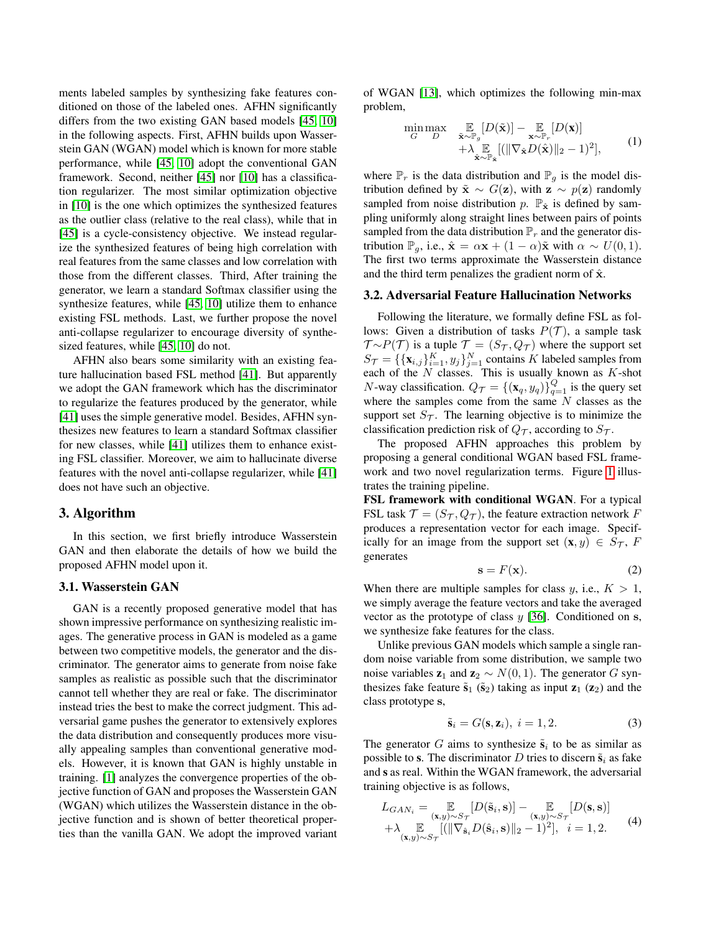ments labeled samples by synthesizing fake features conditioned on those of the labeled ones. AFHN significantly differs from the two existing GAN based models [\[45,](#page-9-3) [10\]](#page-8-11) in the following aspects. First, AFHN builds upon Wasserstein GAN (WGAN) model which is known for more stable performance, while [\[45,](#page-9-3) [10\]](#page-8-11) adopt the conventional GAN framework. Second, neither [\[45\]](#page-9-3) nor [\[10\]](#page-8-11) has a classification regularizer. The most similar optimization objective in [\[10\]](#page-8-11) is the one which optimizes the synthesized features as the outlier class (relative to the real class), while that in [\[45\]](#page-9-3) is a cycle-consistency objective. We instead regularize the synthesized features of being high correlation with real features from the same classes and low correlation with those from the different classes. Third, After training the generator, we learn a standard Softmax classifier using the synthesize features, while [\[45,](#page-9-3) [10\]](#page-8-11) utilize them to enhance existing FSL methods. Last, we further propose the novel anti-collapse regularizer to encourage diversity of synthesized features, while [\[45,](#page-9-3) [10\]](#page-8-11) do not.

AFHN also bears some similarity with an existing feature hallucination based FSL method [\[41\]](#page-9-4). But apparently we adopt the GAN framework which has the discriminator to regularize the features produced by the generator, while [\[41\]](#page-9-4) uses the simple generative model. Besides, AFHN synthesizes new features to learn a standard Softmax classifier for new classes, while [\[41\]](#page-9-4) utilizes them to enhance existing FSL classifier. Moreover, we aim to hallucinate diverse features with the novel anti-collapse regularizer, while [\[41\]](#page-9-4) does not have such an objective.

## 3. Algorithm

In this section, we first briefly introduce Wasserstein GAN and then elaborate the details of how we build the proposed AFHN model upon it.

## 3.1. Wasserstein GAN

GAN is a recently proposed generative model that has shown impressive performance on synthesizing realistic images. The generative process in GAN is modeled as a game between two competitive models, the generator and the discriminator. The generator aims to generate from noise fake samples as realistic as possible such that the discriminator cannot tell whether they are real or fake. The discriminator instead tries the best to make the correct judgment. This adversarial game pushes the generator to extensively explores the data distribution and consequently produces more visually appealing samples than conventional generative models. However, it is known that GAN is highly unstable in training. [\[1\]](#page-8-26) analyzes the convergence properties of the objective function of GAN and proposes the Wasserstein GAN (WGAN) which utilizes the Wasserstein distance in the objective function and is shown of better theoretical properties than the vanilla GAN. We adopt the improved variant of WGAN [\[13\]](#page-8-16), which optimizes the following min-max problem,

$$
\min_{G} \max_{D} \quad \underset{\tilde{\mathbf{x}} \sim \mathbb{P}_{g}}{\mathbb{E}} [D(\tilde{\mathbf{x}})] - \underset{\mathbf{x} \sim \mathbb{P}_{r}}{\mathbb{E}} [D(\mathbf{x})] \n+ \lambda \underset{\tilde{\mathbf{x}} \sim \mathbb{P}_{\tilde{\mathbf{x}}}}{\mathbb{E}} [(\|\nabla_{\tilde{\mathbf{x}}} D(\tilde{\mathbf{x}})\|_{2} - 1)^{2}],
$$
\n(1)

where  $\mathbb{P}_r$  is the data distribution and  $\mathbb{P}_q$  is the model distribution defined by  $\tilde{\mathbf{x}} \sim G(\mathbf{z})$ , with  $\mathbf{z} \sim p(\mathbf{z})$  randomly sampled from noise distribution p.  $\mathbb{P}_{\hat{\mathbf{x}}}$  is defined by sampling uniformly along straight lines between pairs of points sampled from the data distribution  $\mathbb{P}_r$  and the generator distribution  $\mathbb{P}_g$ , i.e.,  $\hat{\mathbf{x}} = \alpha \mathbf{x} + (1 - \alpha) \tilde{\mathbf{x}}$  with  $\alpha \sim U(0, 1)$ . The first two terms approximate the Wasserstein distance and the third term penalizes the gradient norm of  $\hat{x}$ .

#### 3.2. Adversarial Feature Hallucination Networks

Following the literature, we formally define FSL as follows: Given a distribution of tasks  $P(T)$ , a sample task  $T \sim P(T)$  is a tuple  $T = (S_T, Q_T)$  where the support set  $S_{\mathcal{T}} = \{\{\mathbf{x}_{i,j}\}_{i=1}^K, y_j\}_{j=1}^N$  contains K labeled samples from each of the  $N$  classes. This is usually known as  $K$ -shot *N*-way classification.  $Q_{\mathcal{T}} = \{(\mathbf{x}_q, y_q)\}_{q=1}^Q$  is the query set where the samples come from the same  $N$  classes as the support set  $S_{\mathcal{T}}$ . The learning objective is to minimize the classification prediction risk of  $Q_{\tau}$ , according to  $S_{\tau}$ .

The proposed AFHN approaches this problem by proposing a general conditional WGAN based FSL framework and two novel regularization terms. Figure [1](#page-3-0) illustrates the training pipeline.

FSL framework with conditional WGAN. For a typical FSL task  $\mathcal{T} = (S_{\mathcal{T}}, Q_{\mathcal{T}})$ , the feature extraction network F produces a representation vector for each image. Specifically for an image from the support set  $(\mathbf{x}, y) \in S_{\mathcal{T}}$ , F generates

$$
\mathbf{s} = F(\mathbf{x}).\tag{2}
$$

When there are multiple samples for class  $y$ , i.e.,  $K > 1$ , we simply average the feature vectors and take the averaged vector as the prototype of class  $y$  [\[36\]](#page-8-2). Conditioned on s, we synthesize fake features for the class.

Unlike previous GAN models which sample a single random noise variable from some distribution, we sample two noise variables  $z_1$  and  $z_2 \sim N(0, 1)$ . The generator G synthesizes fake feature  $\tilde{\mathbf{s}}_1$  ( $\tilde{\mathbf{s}}_2$ ) taking as input  $\mathbf{z}_1$  ( $\mathbf{z}_2$ ) and the class prototype s,

<span id="page-2-0"></span>
$$
\tilde{\mathbf{s}}_i = G(\mathbf{s}, \mathbf{z}_i), \ i = 1, 2. \tag{3}
$$

The generator G aims to synthesize  $\tilde{s}_i$  to be as similar as possible to s. The discriminator D tries to discern  $\tilde{\mathbf{s}}_i$  as fake and s as real. Within the WGAN framework, the adversarial training objective is as follows,

$$
L_{GAN_i} = \mathop{\mathbb{E}}_{(\mathbf{x}, y) \sim S_{\mathcal{T}}} [D(\tilde{\mathbf{s}}_i, \mathbf{s})] - \mathop{\mathbb{E}}_{(\mathbf{x}, y) \sim S_{\mathcal{T}}} [D(\mathbf{s}, \mathbf{s})]
$$
  
+  $\lambda \mathop{\mathbb{E}}_{(\mathbf{x}, y) \sim S_{\mathcal{T}}} [(\|\nabla_{\hat{\mathbf{s}}_i} D(\hat{\mathbf{s}}_i, \mathbf{s})\|_2 - 1)^2], \quad i = 1, 2.$  (4)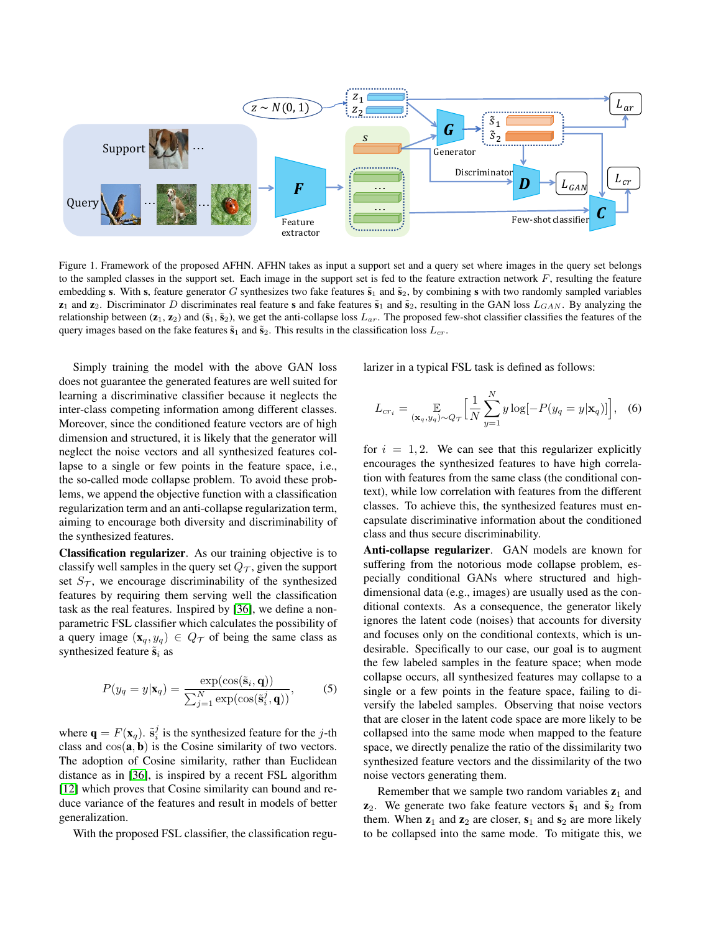

<span id="page-3-0"></span>Figure 1. Framework of the proposed AFHN. AFHN takes as input a support set and a query set where images in the query set belongs to the sampled classes in the support set. Each image in the support set is fed to the feature extraction network  $F$ , resulting the feature embedding s. With s, feature generator G synthesizes two fake features  $\tilde{s}_1$  and  $\tilde{s}_2$ , by combining s with two randomly sampled variables  $z_1$  and  $z_2$ . Discriminator D discriminates real feature s and fake features  $\tilde{s}_1$  and  $\tilde{s}_2$ , resulting in the GAN loss  $L_{GAN}$ . By analyzing the relationship between  $(z_1, z_2)$  and  $(\tilde{s}_1, \tilde{s}_2)$ , we get the anti-collapse loss  $L_{ar}$ . The proposed few-shot classifier classifies the features of the query images based on the fake features  $\tilde{s}_1$  and  $\tilde{s}_2$ . This results in the classification loss  $L_{cr}$ .

Simply training the model with the above GAN loss does not guarantee the generated features are well suited for learning a discriminative classifier because it neglects the inter-class competing information among different classes. Moreover, since the conditioned feature vectors are of high dimension and structured, it is likely that the generator will neglect the noise vectors and all synthesized features collapse to a single or few points in the feature space, i.e., the so-called mode collapse problem. To avoid these problems, we append the objective function with a classification regularization term and an anti-collapse regularization term, aiming to encourage both diversity and discriminability of the synthesized features.

Classification regularizer. As our training objective is to classify well samples in the query set  $Q_{\mathcal{T}}$ , given the support set  $S_{\mathcal{T}}$ , we encourage discriminability of the synthesized features by requiring them serving well the classification task as the real features. Inspired by [\[36\]](#page-8-2), we define a nonparametric FSL classifier which calculates the possibility of a query image  $(\mathbf{x}_q, y_q) \in Q_{\mathcal{T}}$  of being the same class as synthesized feature  $\tilde{\mathbf{s}}_i$  as

$$
P(y_q = y | \mathbf{x}_q) = \frac{\exp(\cos(\tilde{\mathbf{s}}_i, \mathbf{q}))}{\sum_{j=1}^N \exp(\cos(\tilde{\mathbf{s}}_i^j, \mathbf{q}))},
$$
 (5)

where  $\mathbf{q} = F(\mathbf{x}_q)$ .  $\tilde{\mathbf{s}}_i^j$  is the synthesized feature for the j-th class and  $cos(\mathbf{a}, \mathbf{b})$  is the Cosine similarity of two vectors. The adoption of Cosine similarity, rather than Euclidean distance as in [\[36\]](#page-8-2), is inspired by a recent FSL algorithm [\[12\]](#page-8-8) which proves that Cosine similarity can bound and reduce variance of the features and result in models of better generalization.

With the proposed FSL classifier, the classification regu-

larizer in a typical FSL task is defined as follows:

$$
L_{cr_i} = \mathop{\mathbb{E}}_{(\mathbf{x}_q, y_q) \sim Q_{\mathcal{T}}} \left[ \frac{1}{N} \sum_{y=1}^{N} y \log[-P(y_q = y | \mathbf{x}_q)] \right], \quad (6)
$$

for  $i = 1, 2$ . We can see that this regularizer explicitly encourages the synthesized features to have high correlation with features from the same class (the conditional context), while low correlation with features from the different classes. To achieve this, the synthesized features must encapsulate discriminative information about the conditioned class and thus secure discriminability.

Anti-collapse regularizer. GAN models are known for suffering from the notorious mode collapse problem, especially conditional GANs where structured and highdimensional data (e.g., images) are usually used as the conditional contexts. As a consequence, the generator likely ignores the latent code (noises) that accounts for diversity and focuses only on the conditional contexts, which is undesirable. Specifically to our case, our goal is to augment the few labeled samples in the feature space; when mode collapse occurs, all synthesized features may collapse to a single or a few points in the feature space, failing to diversify the labeled samples. Observing that noise vectors that are closer in the latent code space are more likely to be collapsed into the same mode when mapped to the feature space, we directly penalize the ratio of the dissimilarity two synthesized feature vectors and the dissimilarity of the two noise vectors generating them.

Remember that we sample two random variables  $z_1$  and  $z_2$ . We generate two fake feature vectors  $\tilde{s}_1$  and  $\tilde{s}_2$  from them. When  $z_1$  and  $z_2$  are closer,  $s_1$  and  $s_2$  are more likely to be collapsed into the same mode. To mitigate this, we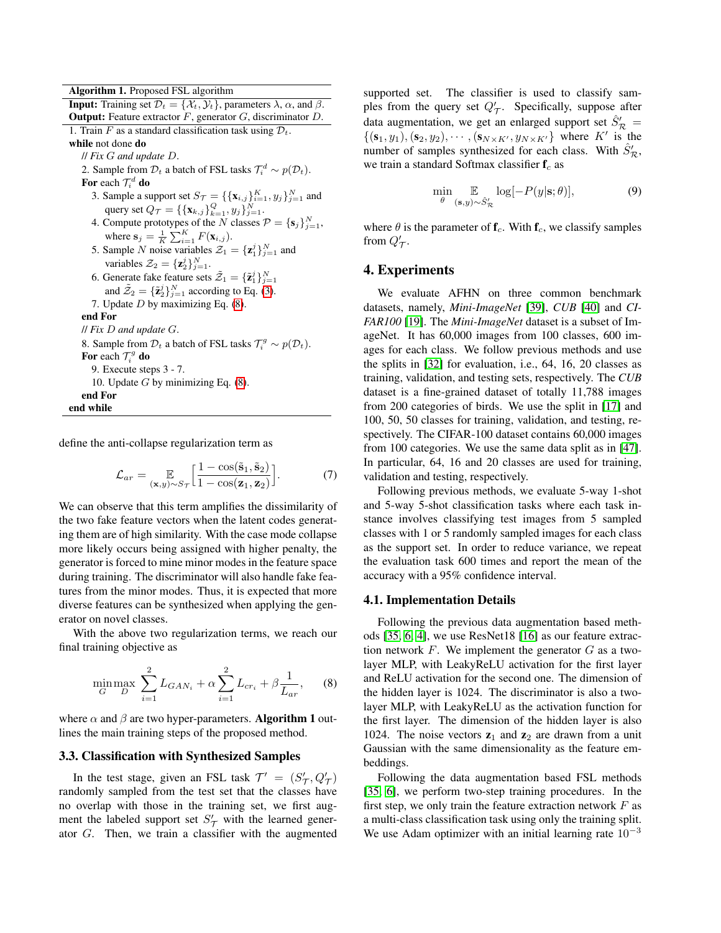Algorithm 1. Proposed FSL algorithm

**Input:** Training set  $\mathcal{D}_t = {\mathcal{X}_t, \mathcal{Y}_t}$ , parameters  $\lambda$ ,  $\alpha$ , and  $\beta$ . **Output:** Feature extractor  $F$ , generator  $G$ , discriminator  $D$ . 1. Train F as a standard classification task using  $\mathcal{D}_t$ . while not done do // *Fix* G *and update* D. 2. Sample from  $\mathcal{D}_t$  a batch of FSL tasks  $\mathcal{T}_i^d \sim p(\mathcal{D}_t)$ . For each  $\mathcal{T}_i^d$  do 3. Sample a support set  $S_{\mathcal{T}} = {\{\mathbf{x}_{i,j}\}_{i=1}^K, y_j\}_{j=1}^N$  and query set  $Q_{\mathcal{T}} = {\{\mathbf{x}_{k,j}\}}_{k=1}^Q, y_j\}_{j=1}^N$ . 4. Compute prototypes of the N classes  $P = \{s_j\}_{j=1}^N$ , where  $\mathbf{s}_j = \frac{1}{K} \sum_{i=1}^K F(\mathbf{x}_{i,j}).$ 5. Sample N noise variables  $\mathcal{Z}_1 = {\mathbf{z}_1^j}_{j=1}^N$  and variables  $\mathcal{Z}_2 = {\mathbf{z}_2^j}_{j=1}^N$ . 6. Generate fake feature sets  $\tilde{Z}_1 = {\{\tilde{\mathbf{z}}_1^j\}_{j=1}^N}$ and  $\tilde{Z}_2 = {\{\tilde{\mathbf{z}}_2^j\}}_{j=1}^N$  according to Eq. [\(3\)](#page-2-0). 7. Update  $D$  by maximizing Eq. [\(8\)](#page-4-0). end For // *Fix* D *and update* G. 8. Sample from  $\mathcal{D}_t$  a batch of FSL tasks  $\mathcal{T}_i^g \sim p(\mathcal{D}_t)$ . For each  $\mathcal{T}_i^g$  do 9. Execute steps 3 - 7. 10. Update  $G$  by minimizing Eq. [\(8\)](#page-4-0). end For end while

define the anti-collapse regularization term as

$$
\mathcal{L}_{ar} = \mathop{\mathbb{E}}\limits_{(\mathbf{x},y) \sim S_{\mathcal{T}}} \left[ \frac{1 - \cos(\tilde{\mathbf{s}}_1, \tilde{\mathbf{s}}_2)}{1 - \cos(\mathbf{z}_1, \mathbf{z}_2)} \right]. \tag{7}
$$

We can observe that this term amplifies the dissimilarity of the two fake feature vectors when the latent codes generating them are of high similarity. With the case mode collapse more likely occurs being assigned with higher penalty, the generator is forced to mine minor modes in the feature space during training. The discriminator will also handle fake features from the minor modes. Thus, it is expected that more diverse features can be synthesized when applying the generator on novel classes.

With the above two regularization terms, we reach our final training objective as

<span id="page-4-0"></span>
$$
\min_{G} \max_{D} \sum_{i=1}^{2} L_{GAN_i} + \alpha \sum_{i=1}^{2} L_{cri} + \beta \frac{1}{L_{ar}}, \quad (8)
$$

where  $\alpha$  and  $\beta$  are two hyper-parameters. **Algorithm 1** outlines the main training steps of the proposed method.

#### 3.3. Classification with Synthesized Samples

In the test stage, given an FSL task  $\mathcal{T}' = (S'_{\mathcal{T}}, Q'_{\mathcal{T}})$ randomly sampled from the test set that the classes have no overlap with those in the training set, we first augment the labeled support set  $S'_{\mathcal{T}}$  with the learned generator G. Then, we train a classifier with the augmented supported set. The classifier is used to classify samples from the query set  $Q'_{\mathcal{T}}$ . Specifically, suppose after data augmentation, we get an enlarged support set  $\hat{S}'_{\mathcal{R}} =$  $\{(\mathbf{s}_1, y_1), (\mathbf{s}_2, y_2), \cdots, (\mathbf{s}_{N \times K'}, y_{N \times K'})\}$  where K' is the number of samples synthesized for each class. With  $\hat{S}'_{\mathcal{R}}$ , we train a standard Softmax classifier  $f_c$  as

$$
\min_{\theta} \mathop{\mathbb{E}}_{(\mathbf{s},y)\sim \hat{S}'_{\mathcal{R}}} \log[-P(y|\mathbf{s};\theta)],\tag{9}
$$

where  $\theta$  is the parameter of  $f_c$ . With  $f_c$ , we classify samples from  $Q'_{\mathcal{T}}$ .

## 4. Experiments

We evaluate AFHN on three common benchmark datasets, namely, *Mini-ImageNet* [\[39\]](#page-9-1), *CUB* [\[40\]](#page-9-8) and *CI-FAR100* [\[19\]](#page-8-27). The *Mini-ImageNet* dataset is a subset of ImageNet. It has 60,000 images from 100 classes, 600 images for each class. We follow previous methods and use the splits in [\[32\]](#page-8-5) for evaluation, i.e., 64, 16, 20 classes as training, validation, and testing sets, respectively. The *CUB* dataset is a fine-grained dataset of totally 11,788 images from 200 categories of birds. We use the split in [\[17\]](#page-8-28) and 100, 50, 50 classes for training, validation, and testing, respectively. The CIFAR-100 dataset contains 60,000 images from 100 categories. We use the same data split as in [\[47\]](#page-9-9). In particular, 64, 16 and 20 classes are used for training, validation and testing, respectively.

Following previous methods, we evaluate 5-way 1-shot and 5-way 5-shot classification tasks where each task instance involves classifying test images from 5 sampled classes with 1 or 5 randomly sampled images for each class as the support set. In order to reduce variance, we repeat the evaluation task 600 times and report the mean of the accuracy with a 95% confidence interval.

#### 4.1. Implementation Details

Following the previous data augmentation based methods [\[35,](#page-8-12) [6,](#page-8-14) [4\]](#page-8-10), we use ResNet18 [\[16\]](#page-8-29) as our feature extraction network  $F$ . We implement the generator  $G$  as a twolayer MLP, with LeakyReLU activation for the first layer and ReLU activation for the second one. The dimension of the hidden layer is 1024. The discriminator is also a twolayer MLP, with LeakyReLU as the activation function for the first layer. The dimension of the hidden layer is also 1024. The noise vectors  $z_1$  and  $z_2$  are drawn from a unit Gaussian with the same dimensionality as the feature embeddings.

Following the data augmentation based FSL methods [\[35,](#page-8-12) [6\]](#page-8-14), we perform two-step training procedures. In the first step, we only train the feature extraction network  $F$  as a multi-class classification task using only the training split. We use Adam optimizer with an initial learning rate  $10^{-3}$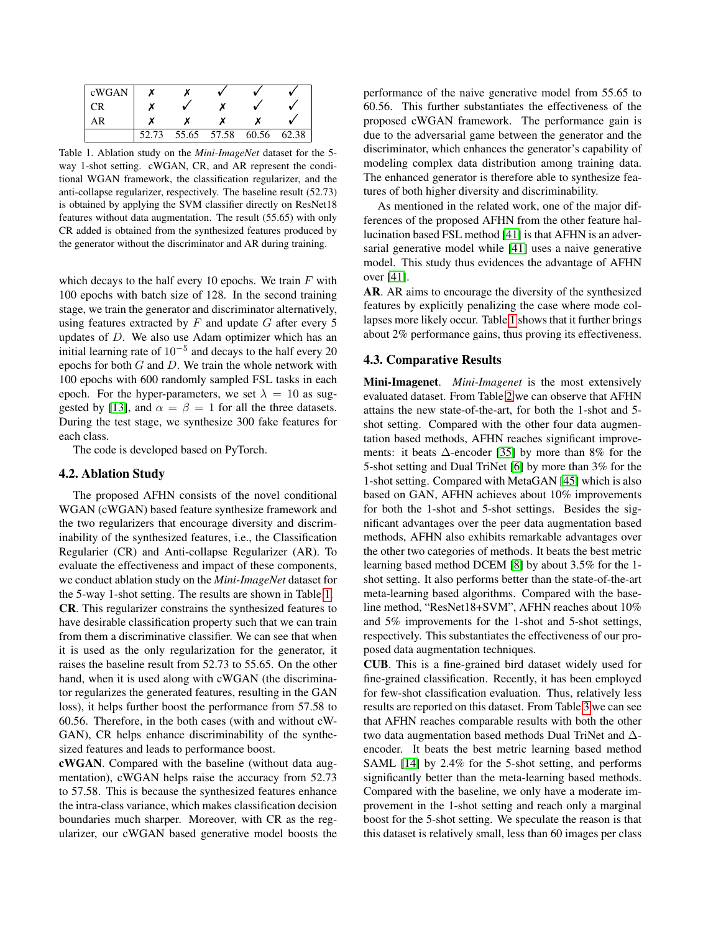| cWGAN |       |                   |       |
|-------|-------|-------------------|-------|
| CR.   |       |                   |       |
| AR    |       |                   |       |
|       | 52.73 | 55.65 57.58 60.56 | 62.38 |

<span id="page-5-0"></span>Table 1. Ablation study on the *Mini-ImageNet* dataset for the 5 way 1-shot setting. cWGAN, CR, and AR represent the conditional WGAN framework, the classification regularizer, and the anti-collapse regularizer, respectively. The baseline result (52.73) is obtained by applying the SVM classifier directly on ResNet18 features without data augmentation. The result (55.65) with only CR added is obtained from the synthesized features produced by the generator without the discriminator and AR during training.

which decays to the half every 10 epochs. We train  $F$  with 100 epochs with batch size of 128. In the second training stage, we train the generator and discriminator alternatively, using features extracted by  $F$  and update  $G$  after every 5 updates of  $D$ . We also use Adam optimizer which has an initial learning rate of  $10^{-5}$  and decays to the half every 20 epochs for both  $G$  and  $D$ . We train the whole network with 100 epochs with 600 randomly sampled FSL tasks in each epoch. For the hyper-parameters, we set  $\lambda = 10$  as sug-gested by [\[13\]](#page-8-16), and  $\alpha = \beta = 1$  for all the three datasets. During the test stage, we synthesize 300 fake features for each class.

The code is developed based on PyTorch.

## 4.2. Ablation Study

The proposed AFHN consists of the novel conditional WGAN (cWGAN) based feature synthesize framework and the two regularizers that encourage diversity and discriminability of the synthesized features, i.e., the Classification Regularier (CR) and Anti-collapse Regularizer (AR). To evaluate the effectiveness and impact of these components, we conduct ablation study on the *Mini-ImageNet* dataset for the 5-way 1-shot setting. The results are shown in Table [1.](#page-5-0) CR. This regularizer constrains the synthesized features to have desirable classification property such that we can train from them a discriminative classifier. We can see that when it is used as the only regularization for the generator, it raises the baseline result from 52.73 to 55.65. On the other hand, when it is used along with cWGAN (the discriminator regularizes the generated features, resulting in the GAN loss), it helps further boost the performance from 57.58 to 60.56. Therefore, in the both cases (with and without cW-GAN), CR helps enhance discriminability of the synthesized features and leads to performance boost.

cWGAN. Compared with the baseline (without data augmentation), cWGAN helps raise the accuracy from 52.73 to 57.58. This is because the synthesized features enhance the intra-class variance, which makes classification decision boundaries much sharper. Moreover, with CR as the regularizer, our cWGAN based generative model boosts the performance of the naive generative model from 55.65 to 60.56. This further substantiates the effectiveness of the proposed cWGAN framework. The performance gain is due to the adversarial game between the generator and the discriminator, which enhances the generator's capability of modeling complex data distribution among training data. The enhanced generator is therefore able to synthesize features of both higher diversity and discriminability.

As mentioned in the related work, one of the major differences of the proposed AFHN from the other feature hallucination based FSL method [\[41\]](#page-9-4) is that AFHN is an adversarial generative model while [\[41\]](#page-9-4) uses a naive generative model. This study thus evidences the advantage of AFHN over [\[41\]](#page-9-4).

AR. AR aims to encourage the diversity of the synthesized features by explicitly penalizing the case where mode collapses more likely occur. Table [1](#page-5-0) shows that it further brings about 2% performance gains, thus proving its effectiveness.

## 4.3. Comparative Results

Mini-Imagenet. *Mini-Imagenet* is the most extensively evaluated dataset. From Table [2](#page-6-0) we can observe that AFHN attains the new state-of-the-art, for both the 1-shot and 5 shot setting. Compared with the other four data augmentation based methods, AFHN reaches significant improvements: it beats  $\Delta$ -encoder [\[35\]](#page-8-12) by more than 8% for the 5-shot setting and Dual TriNet [\[6\]](#page-8-14) by more than 3% for the 1-shot setting. Compared with MetaGAN [\[45\]](#page-9-3) which is also based on GAN, AFHN achieves about 10% improvements for both the 1-shot and 5-shot settings. Besides the significant advantages over the peer data augmentation based methods, AFHN also exhibits remarkable advantages over the other two categories of methods. It beats the best metric learning based method DCEM [\[8\]](#page-8-30) by about 3.5% for the 1 shot setting. It also performs better than the state-of-the-art meta-learning based algorithms. Compared with the baseline method, "ResNet18+SVM", AFHN reaches about 10% and 5% improvements for the 1-shot and 5-shot settings, respectively. This substantiates the effectiveness of our proposed data augmentation techniques.

CUB. This is a fine-grained bird dataset widely used for fine-grained classification. Recently, it has been employed for few-shot classification evaluation. Thus, relatively less results are reported on this dataset. From Table [3](#page-6-1) we can see that AFHN reaches comparable results with both the other two data augmentation based methods Dual TriNet and ∆ encoder. It beats the best metric learning based method SAML [\[14\]](#page-8-20) by 2.4% for the 5-shot setting, and performs significantly better than the meta-learning based methods. Compared with the baseline, we only have a moderate improvement in the 1-shot setting and reach only a marginal boost for the 5-shot setting. We speculate the reason is that this dataset is relatively small, less than 60 images per class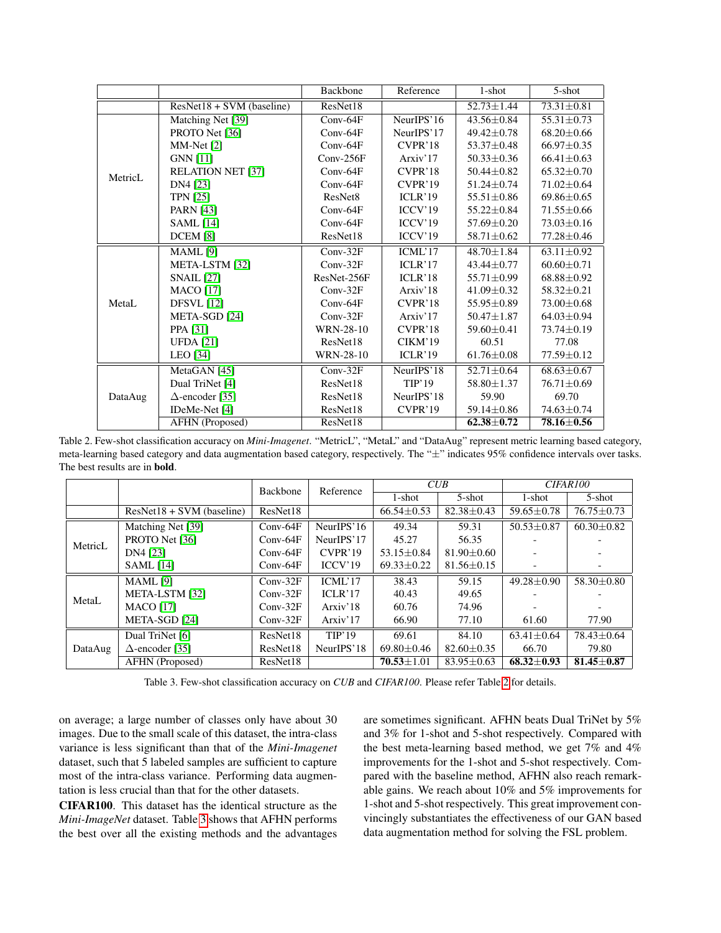|         |                                  | <b>Backbone</b>  | Reference          | 1-shot           | 5-shot           |
|---------|----------------------------------|------------------|--------------------|------------------|------------------|
|         | $ResNet18 + SVM (baseline)$      | ResNet18         |                    | $52.73 \pm 1.44$ | $73.31 \pm 0.81$ |
| MetricL | Matching Net [39]                | Conv-64F         | NeurIPS'16         | 43.56±0.84       | $55.31 + 0.73$   |
|         | PROTO Net [36]                   | $Conv-64F$       | NeurIPS'17         | $49.42 \pm 0.78$ | $68.20 \pm 0.66$ |
|         | $MM-Net [2]$                     | $Conv-64F$       | CVPR'18            | $53.37 + 0.48$   | $66.97 \pm 0.35$ |
|         | <b>GNN</b> [11]                  | $Conv-256F$      | Arxiv'17           | $50.33 \pm 0.36$ | $66.41 \pm 0.63$ |
|         | <b>RELATION NET [37]</b>         | $Conv-64F$       | CVPR'18            | $50.44 \pm 0.82$ | $65.32 \pm 0.70$ |
|         | DN4 [23]                         | Conv-64F         | CVPR'19            | $51.24 \pm 0.74$ | $71.02 \pm 0.64$ |
|         | <b>TPN [25]</b>                  | ResNet8          | ICLR'19            | $55.51 \pm 0.86$ | $69.86 \pm 0.65$ |
|         | <b>PARN</b> [43]                 | $Conv-64F$       | ICCV <sub>19</sub> | $55.22 \pm 0.84$ | $71.55 \pm 0.66$ |
|         | <b>SAML</b> [14]                 | $Conv-64F$       | ICCV'19            | $57.69 + 0.20$   | $73.03 \pm 0.16$ |
|         | DCEM [8]                         | ResNet18         | ICCV <sub>19</sub> | $58.71 \pm 0.62$ | $77.28 \pm 0.46$ |
|         | $MAML$ [9]                       | $Conv-32F$       | ICML'17            | $48.70 + 1.84$   | $63.11 + 0.92$   |
|         | META-LSTM [32]                   | $Conv-32F$       | ICLR'17            | $43.44 + 0.77$   | $60.60 \pm 0.71$ |
|         | <b>SNAIL</b> [27]                | ResNet-256F      | ICLR'18            | $55.71 \pm 0.99$ | $68.88 \pm 0.92$ |
|         | <b>MACO</b> [17]                 | $Conv-32F$       | Arxiv'18           | $41.09 \pm 0.32$ | $58.32 \pm 0.21$ |
| MetaL   | <b>DFSVL</b> [12]                | $Conv-64F$       | CVPR'18            | $55.95 \pm 0.89$ | $73.00 \pm 0.68$ |
|         | META-SGD [24]                    | $Conv-32F$       | Arxiv'17           | $50.47 \pm 1.87$ | $64.03 \pm 0.94$ |
|         | PPA [31]                         | <b>WRN-28-10</b> | CVPR'18            | $59.60 \pm 0.41$ | $73.74 \pm 0.19$ |
|         | <b>UFDA</b> [21]                 | ResNet18         | CIKM'19            | 60.51            | 77.08            |
|         | LEO [34]                         | <b>WRN-28-10</b> | ICLR'19            | $61.76 \pm 0.08$ | $77.59 \pm 0.12$ |
| DataAug | $\overline{\text{MetaGAN}}$ [45] | $Conv-32F$       | NeurIPS'18         | $52.71 + 0.64$   | $68.63 \pm 0.67$ |
|         | Dual TriNet [4]                  | ResNet18         | TIP'19             | $58.80 + 1.37$   | $76.71 + 0.69$   |
|         | $\Delta$ -encoder [35]           | ResNet18         | NeurIPS'18         | 59.90            | 69.70            |
|         | IDeMe-Net [4]                    | ResNet18         | CVPR'19            | $59.14 \pm 0.86$ | 74.63±0.74       |
|         | AFHN (Proposed)                  | ResNet18         |                    | $62.38 \pm 0.72$ | 78.16±0.56       |

<span id="page-6-0"></span>Table 2. Few-shot classification accuracy on *Mini-Imagenet*. "MetricL", "MetaL" and "DataAug" represent metric learning based category, meta-learning based category and data augmentation based category, respectively. The "±" indicates 95% confidence intervals over tasks. The best results are in bold.

|         |                             | <b>Backbone</b> | Reference          | CUB              |                  | CIFAR100         |                  |
|---------|-----------------------------|-----------------|--------------------|------------------|------------------|------------------|------------------|
|         |                             |                 |                    | $1$ -shot        | 5-shot           | 1-shot           | 5-shot           |
|         | $ResNet18 + SVM$ (baseline) | ResNet18        |                    | $66.54 \pm 0.53$ | $82.38 \pm 0.43$ | $59.65 \pm 0.78$ | $76.75 \pm 0.73$ |
| MetricL | Matching Net [39]           | $Conv-64F$      | NeurIPS'16         | 49.34            | 59.31            | $50.53 \pm 0.87$ | $60.30 \pm 0.82$ |
|         | PROTO Net [36]              | $Conv-64F$      | NeurIPS'17         | 45.27            | 56.35            |                  |                  |
|         | DN4 [23]                    | $Conv-64F$      | CVPR'19            | $53.15 \pm 0.84$ | $81.90 \pm 0.60$ |                  |                  |
|         | <b>SAML</b> [14]            | $Conv-64F$      | ICCV <sub>19</sub> | $69.33 \pm 0.22$ | $81.56 \pm 0.15$ |                  |                  |
| MetaL   | <b>MAML</b> [9]             | $Conv-32F$      | ICML'17            | 38.43            | 59.15            | $49.28 + 0.90$   | $58.30 \pm 0.80$ |
|         | META-LSTM [32]              | $Conv-32F$      | ICLR'17            | 40.43            | 49.65            |                  |                  |
|         | <b>MACO</b> [17]            | $Conv-32F$      | Arxiv'18           | 60.76            | 74.96            |                  |                  |
|         | META-SGD [24]               | $Conv-32F$      | Arxiv'17           | 66.90            | 77.10            | 61.60            | 77.90            |
| DataAug | Dual TriNet [6]             | ResNet18        | TIP'19             | 69.61            | 84.10            | $63.41 \pm 0.64$ | $78.43 \pm 0.64$ |
|         | $\Delta$ -encoder [35]      | ResNet18        | NeurIPS'18         | $69.80 \pm 0.46$ | $82.60 \pm 0.35$ | 66.70            | 79.80            |
|         | AFHN (Proposed)             | ResNet18        |                    | $70.53 \pm 1.01$ | $83.95 \pm 0.63$ | $68.32 \pm 0.93$ | $81.45 \pm 0.87$ |

<span id="page-6-1"></span>Table 3. Few-shot classification accuracy on *CUB* and *CIFAR100*. Please refer Table [2](#page-6-0) for details.

on average; a large number of classes only have about 30 images. Due to the small scale of this dataset, the intra-class variance is less significant than that of the *Mini-Imagenet* dataset, such that 5 labeled samples are sufficient to capture most of the intra-class variance. Performing data augmentation is less crucial than that for the other datasets.

CIFAR100. This dataset has the identical structure as the *Mini-ImageNet* dataset. Table [3](#page-6-1) shows that AFHN performs the best over all the existing methods and the advantages are sometimes significant. AFHN beats Dual TriNet by 5% and 3% for 1-shot and 5-shot respectively. Compared with the best meta-learning based method, we get 7% and 4% improvements for the 1-shot and 5-shot respectively. Compared with the baseline method, AFHN also reach remarkable gains. We reach about 10% and 5% improvements for 1-shot and 5-shot respectively. This great improvement convincingly substantiates the effectiveness of our GAN based data augmentation method for solving the FSL problem.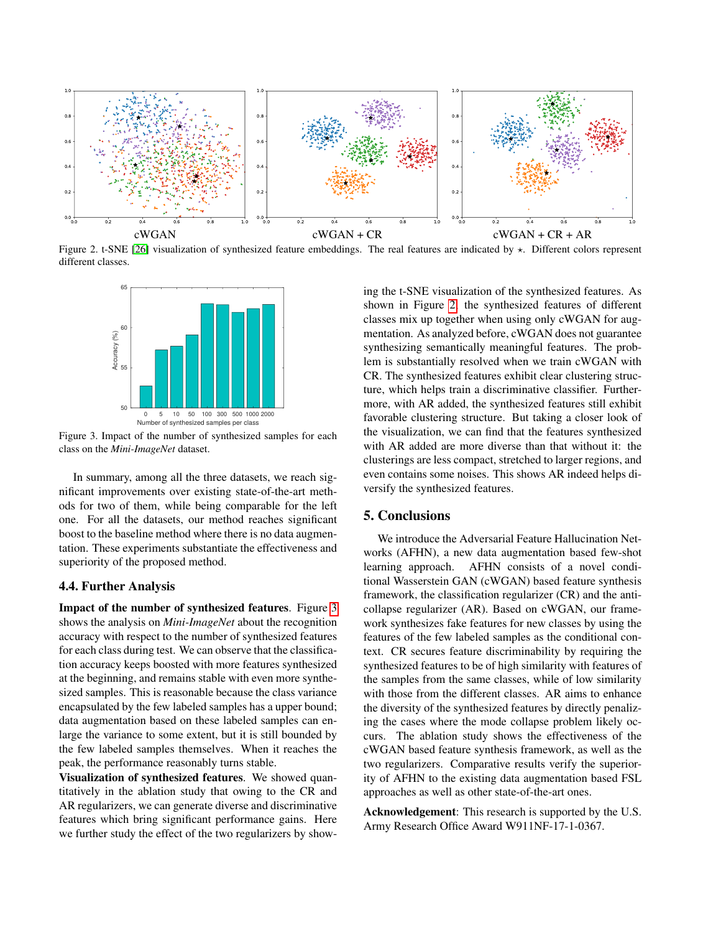

Figure 2. t-SNE [\[26\]](#page-8-35) visualization of synthesized feature embeddings. The real features are indicated by  $\star$ . Different colors represent different classes.

<span id="page-7-1"></span>

<span id="page-7-0"></span>Figure 3. Impact of the number of synthesized samples for each class on the *Mini-ImageNet* dataset.

In summary, among all the three datasets, we reach significant improvements over existing state-of-the-art methods for two of them, while being comparable for the left one. For all the datasets, our method reaches significant boost to the baseline method where there is no data augmentation. These experiments substantiate the effectiveness and superiority of the proposed method.

## 4.4. Further Analysis

Impact of the number of synthesized features. Figure [3](#page-7-0) shows the analysis on *Mini-ImageNet* about the recognition accuracy with respect to the number of synthesized features for each class during test. We can observe that the classification accuracy keeps boosted with more features synthesized at the beginning, and remains stable with even more synthesized samples. This is reasonable because the class variance encapsulated by the few labeled samples has a upper bound; data augmentation based on these labeled samples can enlarge the variance to some extent, but it is still bounded by the few labeled samples themselves. When it reaches the peak, the performance reasonably turns stable.

Visualization of synthesized features. We showed quantitatively in the ablation study that owing to the CR and AR regularizers, we can generate diverse and discriminative features which bring significant performance gains. Here we further study the effect of the two regularizers by showing the t-SNE visualization of the synthesized features. As shown in Figure [2,](#page-7-1) the synthesized features of different classes mix up together when using only cWGAN for augmentation. As analyzed before, cWGAN does not guarantee synthesizing semantically meaningful features. The problem is substantially resolved when we train cWGAN with CR. The synthesized features exhibit clear clustering structure, which helps train a discriminative classifier. Furthermore, with AR added, the synthesized features still exhibit favorable clustering structure. But taking a closer look of the visualization, we can find that the features synthesized with AR added are more diverse than that without it: the clusterings are less compact, stretched to larger regions, and even contains some noises. This shows AR indeed helps diversify the synthesized features.

## 5. Conclusions

We introduce the Adversarial Feature Hallucination Networks (AFHN), a new data augmentation based few-shot learning approach. AFHN consists of a novel conditional Wasserstein GAN (cWGAN) based feature synthesis framework, the classification regularizer (CR) and the anticollapse regularizer (AR). Based on cWGAN, our framework synthesizes fake features for new classes by using the features of the few labeled samples as the conditional context. CR secures feature discriminability by requiring the synthesized features to be of high similarity with features of the samples from the same classes, while of low similarity with those from the different classes. AR aims to enhance the diversity of the synthesized features by directly penalizing the cases where the mode collapse problem likely occurs. The ablation study shows the effectiveness of the cWGAN based feature synthesis framework, as well as the two regularizers. Comparative results verify the superiority of AFHN to the existing data augmentation based FSL approaches as well as other state-of-the-art ones.

Acknowledgement: This research is supported by the U.S. Army Research Office Award W911NF-17-1-0367.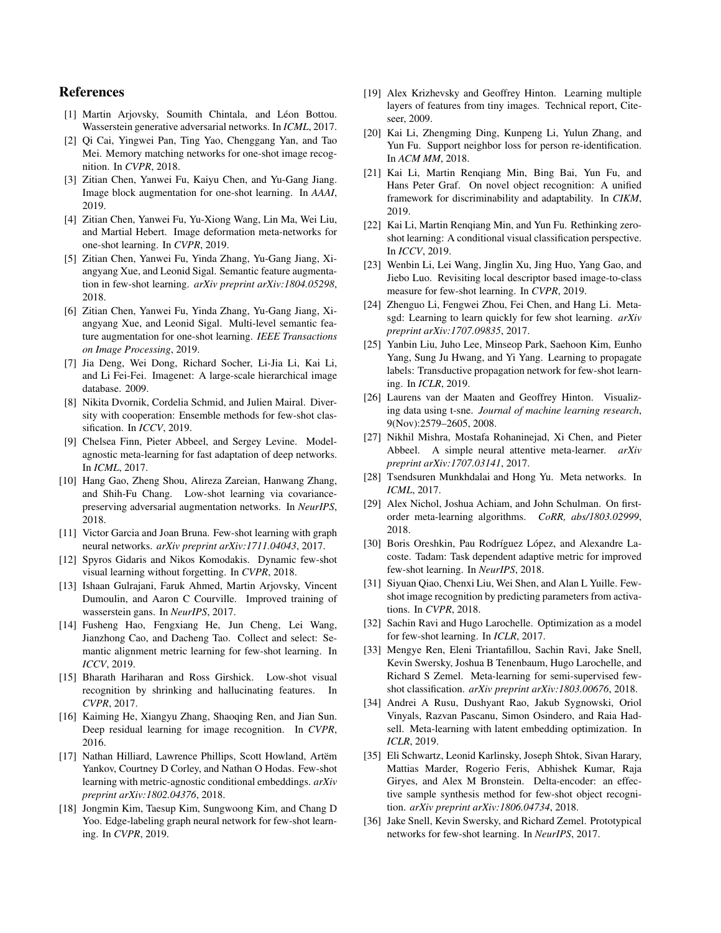## References

- <span id="page-8-26"></span>[1] Martin Arjovsky, Soumith Chintala, and Léon Bottou. Wasserstein generative adversarial networks. In *ICML*, 2017.
- <span id="page-8-31"></span>[2] Qi Cai, Yingwei Pan, Ting Yao, Chenggang Yan, and Tao Mei. Memory matching networks for one-shot image recognition. In *CVPR*, 2018.
- <span id="page-8-17"></span>[3] Zitian Chen, Yanwei Fu, Kaiyu Chen, and Yu-Gang Jiang. Image block augmentation for one-shot learning. In *AAAI*, 2019.
- <span id="page-8-10"></span>[4] Zitian Chen, Yanwei Fu, Yu-Xiong Wang, Lin Ma, Wei Liu, and Martial Hebert. Image deformation meta-networks for one-shot learning. In *CVPR*, 2019.
- <span id="page-8-13"></span>[5] Zitian Chen, Yanwei Fu, Yinda Zhang, Yu-Gang Jiang, Xiangyang Xue, and Leonid Sigal. Semantic feature augmentation in few-shot learning. *arXiv preprint arXiv:1804.05298*, 2018.
- <span id="page-8-14"></span>[6] Zitian Chen, Yanwei Fu, Yinda Zhang, Yu-Gang Jiang, Xiangyang Xue, and Leonid Sigal. Multi-level semantic feature augmentation for one-shot learning. *IEEE Transactions on Image Processing*, 2019.
- <span id="page-8-0"></span>[7] Jia Deng, Wei Dong, Richard Socher, Li-Jia Li, Kai Li, and Li Fei-Fei. Imagenet: A large-scale hierarchical image database. 2009.
- <span id="page-8-30"></span>[8] Nikita Dvornik, Cordelia Schmid, and Julien Mairal. Diversity with cooperation: Ensemble methods for few-shot classification. In *ICCV*, 2019.
- <span id="page-8-3"></span>[9] Chelsea Finn, Pieter Abbeel, and Sergey Levine. Modelagnostic meta-learning for fast adaptation of deep networks. In *ICML*, 2017.
- <span id="page-8-11"></span>[10] Hang Gao, Zheng Shou, Alireza Zareian, Hanwang Zhang, and Shih-Fu Chang. Low-shot learning via covariancepreserving adversarial augmentation networks. In *NeurIPS*, 2018.
- <span id="page-8-32"></span>[11] Victor Garcia and Joan Bruna. Few-shot learning with graph neural networks. *arXiv preprint arXiv:1711.04043*, 2017.
- <span id="page-8-8"></span>[12] Spyros Gidaris and Nikos Komodakis. Dynamic few-shot visual learning without forgetting. In *CVPR*, 2018.
- <span id="page-8-16"></span>[13] Ishaan Gulrajani, Faruk Ahmed, Martin Arjovsky, Vincent Dumoulin, and Aaron C Courville. Improved training of wasserstein gans. In *NeurIPS*, 2017.
- <span id="page-8-20"></span>[14] Fusheng Hao, Fengxiang He, Jun Cheng, Lei Wang, Jianzhong Cao, and Dacheng Tao. Collect and select: Semantic alignment metric learning for few-shot learning. In *ICCV*, 2019.
- <span id="page-8-15"></span>[15] Bharath Hariharan and Ross Girshick. Low-shot visual recognition by shrinking and hallucinating features. In *CVPR*, 2017.
- <span id="page-8-29"></span>[16] Kaiming He, Xiangyu Zhang, Shaoqing Ren, and Jian Sun. Deep residual learning for image recognition. In *CVPR*, 2016.
- <span id="page-8-28"></span>[17] Nathan Hilliard, Lawrence Phillips, Scott Howland, Artëm Yankov, Courtney D Corley, and Nathan O Hodas. Few-shot learning with metric-agnostic conditional embeddings. *arXiv preprint arXiv:1802.04376*, 2018.
- <span id="page-8-21"></span>[18] Jongmin Kim, Taesup Kim, Sungwoong Kim, and Chang D Yoo. Edge-labeling graph neural network for few-shot learning. In *CVPR*, 2019.
- <span id="page-8-27"></span>[19] Alex Krizhevsky and Geoffrey Hinton. Learning multiple layers of features from tiny images. Technical report, Citeseer, 2009.
- <span id="page-8-1"></span>[20] Kai Li, Zhengming Ding, Kunpeng Li, Yulun Zhang, and Yun Fu. Support neighbor loss for person re-identification. In *ACM MM*, 2018.
- <span id="page-8-7"></span>[21] Kai Li, Martin Renqiang Min, Bing Bai, Yun Fu, and Hans Peter Graf. On novel object recognition: A unified framework for discriminability and adaptability. In *CIKM*, 2019.
- <span id="page-8-25"></span>[22] Kai Li, Martin Renqiang Min, and Yun Fu. Rethinking zeroshot learning: A conditional visual classification perspective. In *ICCV*, 2019.
- <span id="page-8-33"></span>[23] Wenbin Li, Lei Wang, Jinglin Xu, Jing Huo, Yang Gao, and Jiebo Luo. Revisiting local descriptor based image-to-class measure for few-shot learning. In *CVPR*, 2019.
- <span id="page-8-4"></span>[24] Zhenguo Li, Fengwei Zhou, Fei Chen, and Hang Li. Metasgd: Learning to learn quickly for few shot learning. *arXiv preprint arXiv:1707.09835*, 2017.
- <span id="page-8-22"></span>[25] Yanbin Liu, Juho Lee, Minseop Park, Saehoon Kim, Eunho Yang, Sung Ju Hwang, and Yi Yang. Learning to propagate labels: Transductive propagation network for few-shot learning. In *ICLR*, 2019.
- <span id="page-8-35"></span>[26] Laurens van der Maaten and Geoffrey Hinton. Visualizing data using t-sne. *Journal of machine learning research*, 9(Nov):2579–2605, 2008.
- <span id="page-8-34"></span>[27] Nikhil Mishra, Mostafa Rohaninejad, Xi Chen, and Pieter Abbeel. A simple neural attentive meta-learner. *arXiv preprint arXiv:1707.03141*, 2017.
- <span id="page-8-6"></span>[28] Tsendsuren Munkhdalai and Hong Yu. Meta networks. In *ICML*, 2017.
- <span id="page-8-23"></span>[29] Alex Nichol, Joshua Achiam, and John Schulman. On firstorder meta-learning algorithms. *CoRR, abs/1803.02999*, 2018.
- <span id="page-8-19"></span>[30] Boris Oreshkin, Pau Rodríguez López, and Alexandre Lacoste. Tadam: Task dependent adaptive metric for improved few-shot learning. In *NeurIPS*, 2018.
- <span id="page-8-24"></span>[31] Siyuan Qiao, Chenxi Liu, Wei Shen, and Alan L Yuille. Fewshot image recognition by predicting parameters from activations. In *CVPR*, 2018.
- <span id="page-8-5"></span>[32] Sachin Ravi and Hugo Larochelle. Optimization as a model for few-shot learning. In *ICLR*, 2017.
- <span id="page-8-18"></span>[33] Mengye Ren, Eleni Triantafillou, Sachin Ravi, Jake Snell, Kevin Swersky, Joshua B Tenenbaum, Hugo Larochelle, and Richard S Zemel. Meta-learning for semi-supervised fewshot classification. *arXiv preprint arXiv:1803.00676*, 2018.
- <span id="page-8-9"></span>[34] Andrei A Rusu, Dushyant Rao, Jakub Sygnowski, Oriol Vinyals, Razvan Pascanu, Simon Osindero, and Raia Hadsell. Meta-learning with latent embedding optimization. In *ICLR*, 2019.
- <span id="page-8-12"></span>[35] Eli Schwartz, Leonid Karlinsky, Joseph Shtok, Sivan Harary, Mattias Marder, Rogerio Feris, Abhishek Kumar, Raja Giryes, and Alex M Bronstein. Delta-encoder: an effective sample synthesis method for few-shot object recognition. *arXiv preprint arXiv:1806.04734*, 2018.
- <span id="page-8-2"></span>[36] Jake Snell, Kevin Swersky, and Richard Zemel. Prototypical networks for few-shot learning. In *NeurIPS*, 2017.